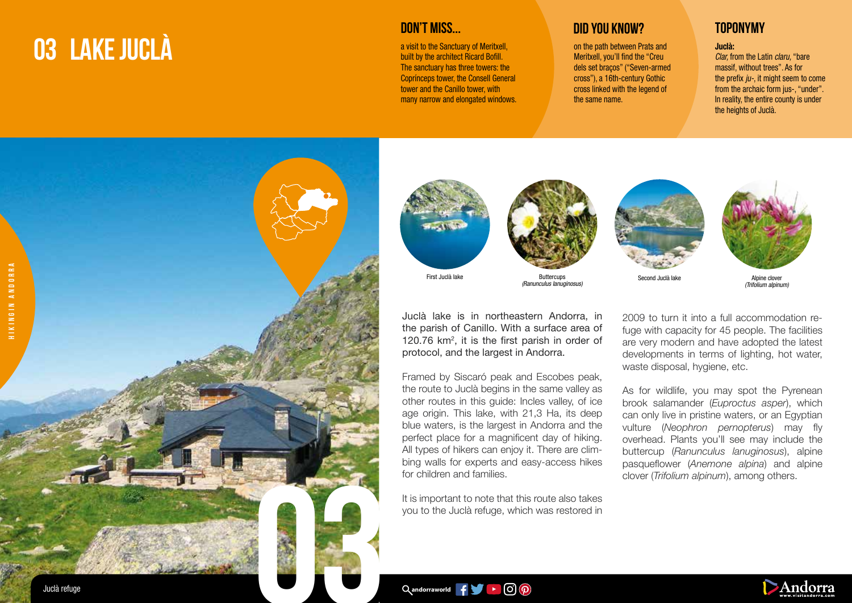## **03 LAKE JUCLÀ**

a visit to the Sanctuary of Meritxell, built by the architect Ricard Bofill. The sanctuary has three towers: the Coprínceps tower, the Consell General tower and the Canillo tower, with many narrow and elongated windows.

First Juclà lake

## **DID YOU KNOW? TOPONYMY**

on the path between Prats and Meritxell, you'll find the "Creu dels set braços" ("Seven-armed cross"), a 16th-century Gothic cross linked with the legend of the same name.

## Juclà:

Clar, from the Latin claru, "bare massif, without trees". As for the prefix  $i\nu$ -, it might seem to come from the archaic form jus-, "under". In reality, the entire county is under the heights of Juclà.



Juclà lake is in northeastern Andorra, in the parish of Canillo. With a surface area of 120.76  $km^2$ , it is the first parish in order of protocol, and the largest in Andorra.

**Buttercups** (Ranunculus lanuginosus)

Framed by Siscaró peak and Escobes peak, the route to Juclà begins in the same valley as other routes in this guide: Incles valley, of ice age origin. This lake, with 21,3 Ha, its deep blue waters, is the largest in Andorra and the perfect place for a magnificent day of hiking. All types of hikers can enjoy it. There are climbing walls for experts and easy-access hikes for children and families.

It is important to note that this route also takes you to the Juclà refuge, which was restored in





Second Juclà lake Alpine clover (Trifolium alpinum)

2009 to turn it into a full accommodation refuge with capacity for 45 people. The facilities are very modern and have adopted the latest developments in terms of lighting, hot water, waste disposal, hygiene, etc.

As for wildlife, you may spot the Pyrenean brook salamander (*Euproctus asper*), which can only live in pristine waters, or an Egyptian vulture (*Neophron pernopterus*) may fly overhead. Plants you'll see may include the buttercup (*Ranunculus lanuginosus*), alpine pasqueflower (*Anemone alpina*) and alpine clover (*Trifolium alpinum*), among others.